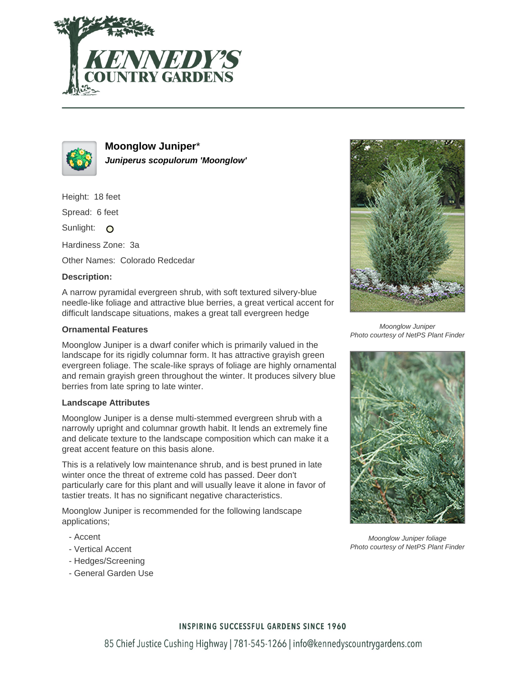



**Moonglow Juniper**\* **Juniperus scopulorum 'Moonglow'**

Height: 18 feet

Spread: 6 feet

Sunlight: O

Hardiness Zone: 3a

Other Names: Colorado Redcedar

## **Description:**

A narrow pyramidal evergreen shrub, with soft textured silvery-blue needle-like foliage and attractive blue berries, a great vertical accent for difficult landscape situations, makes a great tall evergreen hedge

## **Ornamental Features**

Moonglow Juniper is a dwarf conifer which is primarily valued in the landscape for its rigidly columnar form. It has attractive grayish green evergreen foliage. The scale-like sprays of foliage are highly ornamental and remain grayish green throughout the winter. It produces silvery blue berries from late spring to late winter.

### **Landscape Attributes**

Moonglow Juniper is a dense multi-stemmed evergreen shrub with a narrowly upright and columnar growth habit. It lends an extremely fine and delicate texture to the landscape composition which can make it a great accent feature on this basis alone.

This is a relatively low maintenance shrub, and is best pruned in late winter once the threat of extreme cold has passed. Deer don't particularly care for this plant and will usually leave it alone in favor of tastier treats. It has no significant negative characteristics.

Moonglow Juniper is recommended for the following landscape applications;

- Accent
- Vertical Accent
- Hedges/Screening
- General Garden Use



Moonglow Juniper Photo courtesy of NetPS Plant Finder



Moonglow Juniper foliage Photo courtesy of NetPS Plant Finder

### **INSPIRING SUCCESSFUL GARDENS SINCE 1960**

85 Chief Justice Cushing Highway | 781-545-1266 | info@kennedyscountrygardens.com